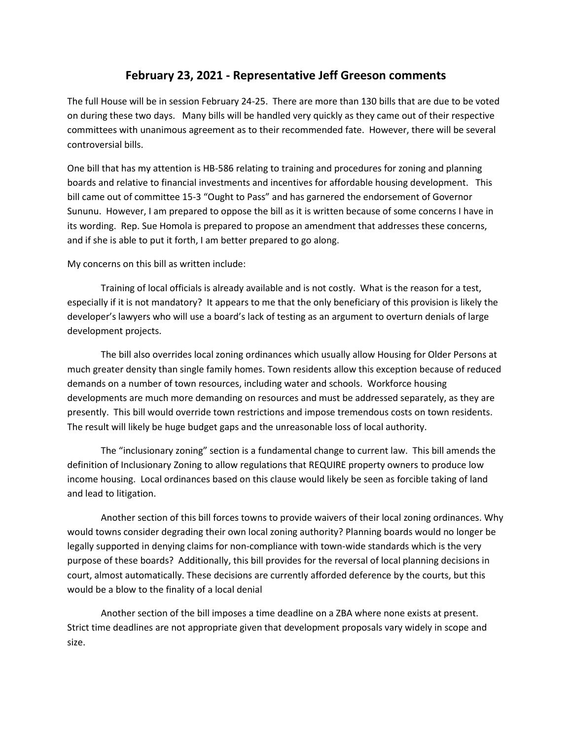## **February 23, 2021 - Representative Jeff Greeson comments**

The full House will be in session February 24-25. There are more than 130 bills that are due to be voted on during these two days. Many bills will be handled very quickly as they came out of their respective committees with unanimous agreement as to their recommended fate. However, there will be several controversial bills.

One bill that has my attention is HB-586 relating to training and procedures for zoning and planning boards and relative to financial investments and incentives for affordable housing development. This bill came out of committee 15-3 "Ought to Pass" and has garnered the endorsement of Governor Sununu. However, I am prepared to oppose the bill as it is written because of some concerns I have in its wording. Rep. Sue Homola is prepared to propose an amendment that addresses these concerns, and if she is able to put it forth, I am better prepared to go along.

My concerns on this bill as written include:

Training of local officials is already available and is not costly. What is the reason for a test, especially if it is not mandatory? It appears to me that the only beneficiary of this provision is likely the developer's lawyers who will use a board's lack of testing as an argument to overturn denials of large development projects.

The bill also overrides local zoning ordinances which usually allow Housing for Older Persons at much greater density than single family homes. Town residents allow this exception because of reduced demands on a number of town resources, including water and schools. Workforce housing developments are much more demanding on resources and must be addressed separately, as they are presently. This bill would override town restrictions and impose tremendous costs on town residents. The result will likely be huge budget gaps and the unreasonable loss of local authority.

The "inclusionary zoning" section is a fundamental change to current law. This bill amends the definition of Inclusionary Zoning to allow regulations that REQUIRE property owners to produce low income housing. Local ordinances based on this clause would likely be seen as forcible taking of land and lead to litigation.

Another section of this bill forces towns to provide waivers of their local zoning ordinances. Why would towns consider degrading their own local zoning authority? Planning boards would no longer be legally supported in denying claims for non-compliance with town-wide standards which is the very purpose of these boards? Additionally, this bill provides for the reversal of local planning decisions in court, almost automatically. These decisions are currently afforded deference by the courts, but this would be a blow to the finality of a local denial

Another section of the bill imposes a time deadline on a ZBA where none exists at present. Strict time deadlines are not appropriate given that development proposals vary widely in scope and size.